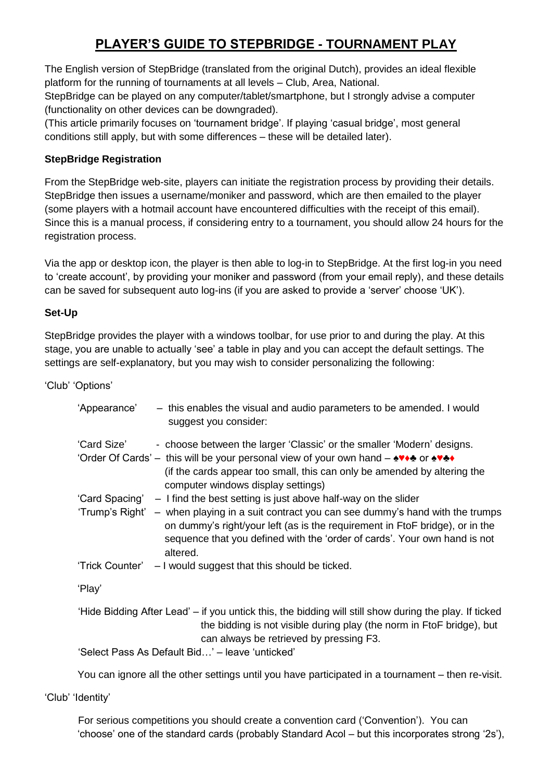# **PLAYER'S GUIDE TO STEPBRIDGE - TOURNAMENT PLAY**

The English version of StepBridge (translated from the original Dutch), provides an ideal flexible platform for the running of tournaments at all levels – Club, Area, National.

StepBridge can be played on any computer/tablet/smartphone, but I strongly advise a computer (functionality on other devices can be downgraded).

(This article primarily focuses on 'tournament bridge'. If playing 'casual bridge', most general conditions still apply, but with some differences – these will be detailed later).

### **StepBridge Registration**

From the StepBridge web-site, players can initiate the registration process by providing their details. StepBridge then issues a username/moniker and password, which are then emailed to the player (some players with a hotmail account have encountered difficulties with the receipt of this email). Since this is a manual process, if considering entry to a tournament, you should allow 24 hours for the registration process.

Via the app or desktop icon, the player is then able to log-in to StepBridge. At the first log-in you need to 'create account', by providing your moniker and password (from your email reply), and these details can be saved for subsequent auto log-ins (if you are asked to provide a 'server' choose 'UK').

### **Set-Up**

StepBridge provides the player with a windows toolbar, for use prior to and during the play. At this stage, you are unable to actually 'see' a table in play and you can accept the default settings. The settings are self-explanatory, but you may wish to consider personalizing the following:

'Club' 'Options'

| 'Appearance' | - this enables the visual and audio parameters to be amended. I would<br>suggest you consider:                                                                                                                                                                                                                                                 |
|--------------|------------------------------------------------------------------------------------------------------------------------------------------------------------------------------------------------------------------------------------------------------------------------------------------------------------------------------------------------|
| 'Card Size'  | - choose between the larger 'Classic' or the smaller 'Modern' designs.<br>'Order Of Cards' – this will be your personal view of your own hand – $\stackrel{\blacktriangle}{\bullet}$ or $\stackrel{\blacktriangle}{\bullet}$<br>(if the cards appear too small, this can only be amended by altering the<br>computer windows display settings) |
|              | 'Card Spacing' – I find the best setting is just above half-way on the slider                                                                                                                                                                                                                                                                  |
|              | 'Trump's Right' – when playing in a suit contract you can see dummy's hand with the trumps<br>on dummy's right/your left (as is the requirement in FtoF bridge), or in the<br>sequence that you defined with the 'order of cards'. Your own hand is not<br>altered.                                                                            |
|              | 'Trick Counter' – I would suggest that this should be ticked.                                                                                                                                                                                                                                                                                  |
| 'Play'       |                                                                                                                                                                                                                                                                                                                                                |
|              | 'Hide Bidding After Lead' – if you untick this, the bidding will still show during the play. If ticked<br>the bidding is not visible during play (the norm in FtoF bridge), but<br>can always be retrieved by pressing F3.<br>'Select Pass As Default Bid' - leave 'unticked'                                                                  |
|              |                                                                                                                                                                                                                                                                                                                                                |

You can ignore all the other settings until you have participated in a tournament – then re-visit.

'Club' 'Identity'

For serious competitions you should create a convention card ('Convention'). You can 'choose' one of the standard cards (probably Standard Acol – but this incorporates strong '2s'),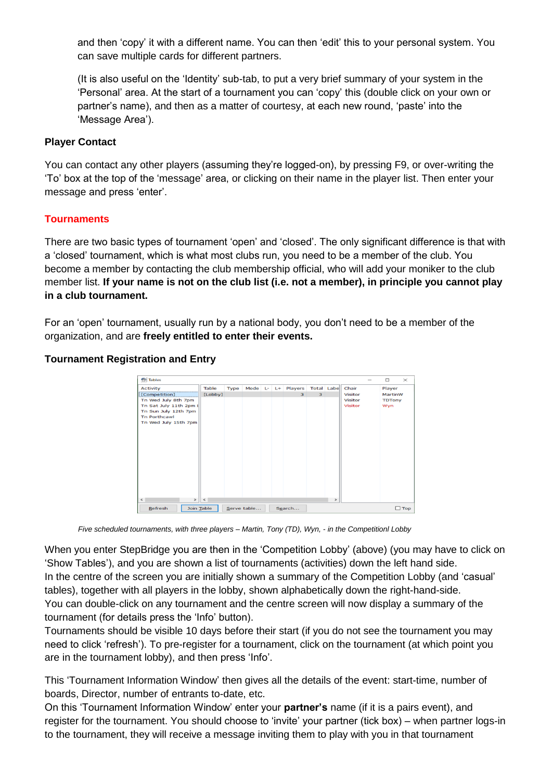and then 'copy' it with a different name. You can then 'edit' this to your personal system. You can save multiple cards for different partners.

(It is also useful on the 'Identity' sub-tab, to put a very brief summary of your system in the 'Personal' area. At the start of a tournament you can 'copy' this (double click on your own or partner's name), and then as a matter of courtesy, at each new round, 'paste' into the 'Message Area').

#### **Player Contact**

You can contact any other players (assuming they're logged-on), by pressing F9, or over-writing the 'To' box at the top of the 'message' area, or clicking on their name in the player list. Then enter your message and press 'enter'.

### **Tournaments**

There are two basic types of tournament 'open' and 'closed'. The only significant difference is that with a 'closed' tournament, which is what most clubs run, you need to be a member of the club. You become a member by contacting the club membership official, who will add your moniker to the club member list. **If your name is not on the club list (i.e. not a member), in principle you cannot play in a club tournament.**

For an 'open' tournament, usually run by a national body, you don't need to be a member of the organization, and are **freely entitled to enter their events.**

#### **Tournament Registration and Entry**

| <b>Tables</b>                 |            |      |             |  |                         |   |               |                | $\frac{1}{2}$ | $\Box$        | $\times$   |
|-------------------------------|------------|------|-------------|--|-------------------------|---|---------------|----------------|---------------|---------------|------------|
| <b>Activity</b>               | Table      | Type | Mode L- L+  |  | Players                 |   | Total Labe    | Chair          |               | Player        |            |
| [Competition]                 | [Lobby]    |      |             |  | $\overline{\mathbf{3}}$ | 3 |               | <b>Visitor</b> |               | MartinW       |            |
| Tn Wed July 8th 7pm           |            |      |             |  |                         |   |               | <b>Visitor</b> |               | <b>TDTony</b> |            |
| Tn Sat July 11th 2pm I        |            |      |             |  |                         |   |               | <b>Visitor</b> |               | Wyn           |            |
| Tn Sun July 12th 7pm          |            |      |             |  |                         |   |               |                |               |               |            |
| <b>Tn Porthcawl</b>           |            |      |             |  |                         |   |               |                |               |               |            |
| Tn Wed July 15th 7pm          |            |      |             |  |                         |   |               |                |               |               |            |
|                               |            |      |             |  |                         |   |               |                |               |               |            |
|                               |            |      |             |  |                         |   |               |                |               |               |            |
|                               |            |      |             |  |                         |   |               |                |               |               |            |
|                               |            |      |             |  |                         |   |               |                |               |               |            |
|                               |            |      |             |  |                         |   |               |                |               |               |            |
|                               |            |      |             |  |                         |   |               |                |               |               |            |
|                               |            |      |             |  |                         |   |               |                |               |               |            |
|                               |            |      |             |  |                         |   |               |                |               |               |            |
|                               |            |      |             |  |                         |   |               |                |               |               |            |
|                               |            |      |             |  |                         |   |               |                |               |               |            |
|                               |            |      |             |  |                         |   |               |                |               |               |            |
|                               |            |      |             |  |                         |   |               |                |               |               |            |
| $\leftarrow$<br>$\rightarrow$ | $\leq$     |      |             |  |                         |   | $\rightarrow$ |                |               |               |            |
| Refresh                       | Join Table |      | Serve table |  | Search                  |   |               |                |               |               | $\Box$ Top |

*Five scheduled tournaments, with three players – Martin, Tony (TD), Wyn, - in the Competitionl Lobby*

When you enter StepBridge you are then in the 'Competition Lobby' (above) (you may have to click on 'Show Tables'), and you are shown a list of tournaments (activities) down the left hand side. In the centre of the screen you are initially shown a summary of the Competition Lobby (and 'casual' tables), together with all players in the lobby, shown alphabetically down the right-hand-side. You can double-click on any tournament and the centre screen will now display a summary of the tournament (for details press the 'Info' button).

Tournaments should be visible 10 days before their start (if you do not see the tournament you may need to click 'refresh'). To pre-register for a tournament, click on the tournament (at which point you are in the tournament lobby), and then press 'Info'.

This 'Tournament Information Window' then gives all the details of the event: start-time, number of boards, Director, number of entrants to-date, etc.

On this 'Tournament Information Window' enter your **partner's** name (if it is a pairs event), and register for the tournament. You should choose to 'invite' your partner (tick box) – when partner logs-in to the tournament, they will receive a message inviting them to play with you in that tournament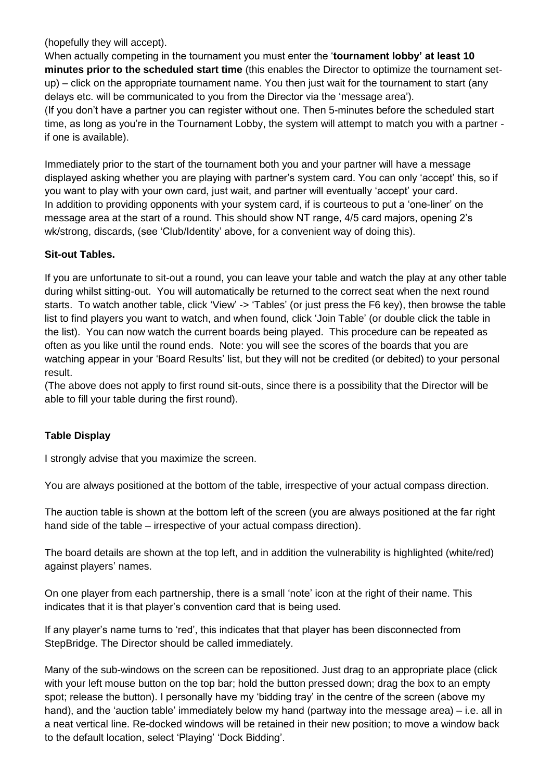(hopefully they will accept).

When actually competing in the tournament you must enter the '**tournament lobby' at least 10 minutes prior to the scheduled start time** (this enables the Director to optimize the tournament setup) – click on the appropriate tournament name. You then just wait for the tournament to start (any delays etc. will be communicated to you from the Director via the 'message area'). (If you don't have a partner you can register without one. Then 5-minutes before the scheduled start time, as long as you're in the Tournament Lobby, the system will attempt to match you with a partner if one is available).

Immediately prior to the start of the tournament both you and your partner will have a message displayed asking whether you are playing with partner's system card. You can only 'accept' this, so if you want to play with your own card, just wait, and partner will eventually 'accept' your card. In addition to providing opponents with your system card, if is courteous to put a 'one-liner' on the message area at the start of a round. This should show NT range, 4/5 card majors, opening 2's wk/strong, discards, (see 'Club/Identity' above, for a convenient way of doing this).

#### **Sit-out Tables.**

If you are unfortunate to sit-out a round, you can leave your table and watch the play at any other table during whilst sitting-out. You will automatically be returned to the correct seat when the next round starts. To watch another table, click 'View' -> 'Tables' (or just press the F6 key), then browse the table list to find players you want to watch, and when found, click 'Join Table' (or double click the table in the list). You can now watch the current boards being played. This procedure can be repeated as often as you like until the round ends. Note: you will see the scores of the boards that you are watching appear in your 'Board Results' list, but they will not be credited (or debited) to your personal result.

(The above does not apply to first round sit-outs, since there is a possibility that the Director will be able to fill your table during the first round).

### **Table Display**

I strongly advise that you maximize the screen.

You are always positioned at the bottom of the table, irrespective of your actual compass direction.

The auction table is shown at the bottom left of the screen (you are always positioned at the far right hand side of the table – irrespective of your actual compass direction).

The board details are shown at the top left, and in addition the vulnerability is highlighted (white/red) against players' names.

On one player from each partnership, there is a small 'note' icon at the right of their name. This indicates that it is that player's convention card that is being used.

If any player's name turns to 'red', this indicates that that player has been disconnected from StepBridge. The Director should be called immediately.

Many of the sub-windows on the screen can be repositioned. Just drag to an appropriate place (click with your left mouse button on the top bar; hold the button pressed down; drag the box to an empty spot; release the button). I personally have my 'bidding tray' in the centre of the screen (above my hand), and the 'auction table' immediately below my hand (partway into the message area) – i.e. all in a neat vertical line. Re-docked windows will be retained in their new position; to move a window back to the default location, select 'Playing' 'Dock Bidding'.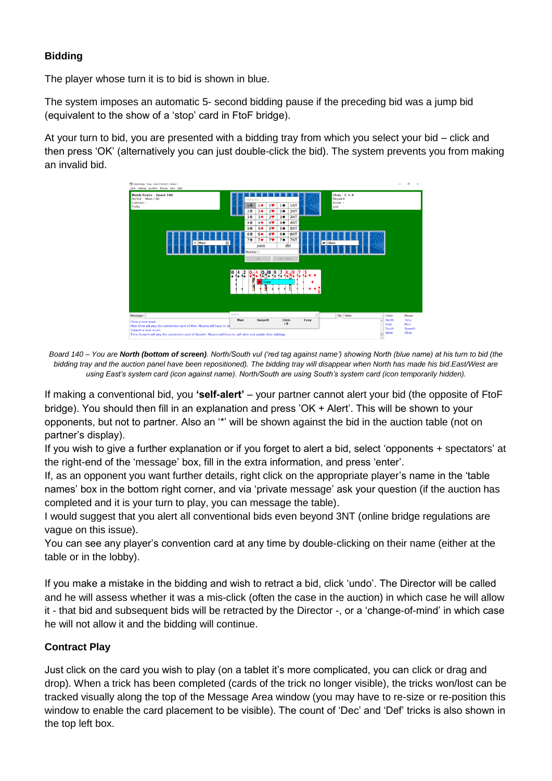# **Bidding**

The player whose turn it is to bid is shown in blue.

The system imposes an automatic 5- second bidding pause if the preceding bid was a jump bid (equivalent to the show of a 'stop' card in FtoF bridge).

At your turn to bid, you are presented with a bidding tray from which you select your bid – click and then press 'OK' (alternatively you can just double-click the bid). The system prevents you from making an invalid bid.



*Board 140 – You are North (bottom of screen). North/South vul ('red tag against name') showing North (blue name) at his turn to bid (the bidding tray and the auction panel have been repositioned). The bidding tray will disappear when North has made his bid.East/West are using East's system card (icon against name). North/South are using South's system card (icon temporarily hidden).*

If making a conventional bid, you **'self-alert'** – your partner cannot alert your bid (the opposite of FtoF bridge). You should then fill in an explanation and press 'OK + Alert'. This will be shown to your opponents, but not to partner. Also an '\*' will be shown against the bid in the auction table (not on partner's display).

If you wish to give a further explanation or if you forget to alert a bid, select 'opponents + spectators' at the right-end of the 'message' box, fill in the extra information, and press 'enter'.

If, as an opponent you want further details, right click on the appropriate player's name in the 'table names' box in the bottom right corner, and via 'private message' ask your question (if the auction has completed and it is your turn to play, you can message the table).

I would suggest that you alert all conventional bids even beyond 3NT (online bridge regulations are vague on this issue).

You can see any player's convention card at any time by double-clicking on their name (either at the table or in the lobby).

If you make a mistake in the bidding and wish to retract a bid, click 'undo'. The Director will be called and he will assess whether it was a mis-click (often the case in the auction) in which case he will allow it - that bid and subsequent bids will be retracted by the Director -, or a 'change-of-mind' in which case he will not allow it and the bidding will continue.

# **Contract Play**

Just click on the card you wish to play (on a tablet it's more complicated, you can click or drag and drop). When a trick has been completed (cards of the trick no longer visible), the tricks won/lost can be tracked visually along the top of the Message Area window (you may have to re-size or re-position this window to enable the card placement to be visible). The count of 'Dec' and 'Def' tricks is also shown in the top left box.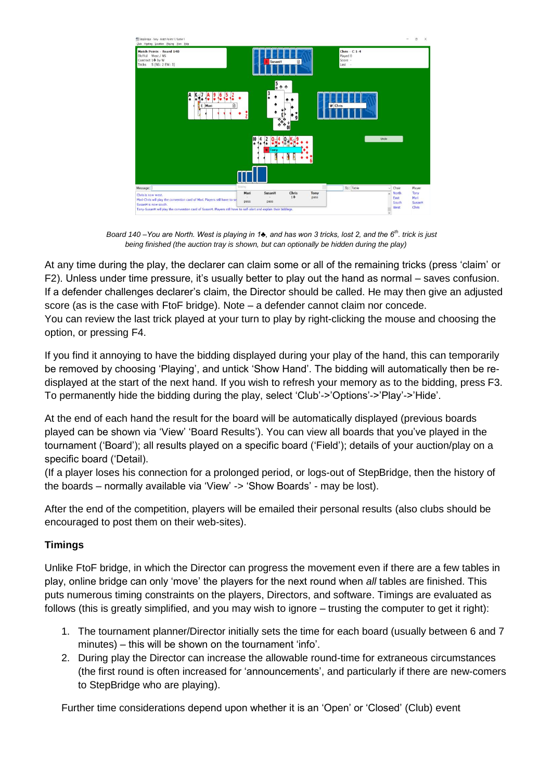| Club Hosting Location Playing View Help<br>Match Points - Board 140<br>Dir/Vul West / NS<br>Contract 1+ by W<br>Tricks 5 (NS: 2 EW: 3)                                                                                                        |                   | $\circledcirc$<br>SusanH                                       |              | Chris - $C$ 1-4<br>Played 0<br>Score -<br>Last - |                                |                                 |
|-----------------------------------------------------------------------------------------------------------------------------------------------------------------------------------------------------------------------------------------------|-------------------|----------------------------------------------------------------|--------------|--------------------------------------------------|--------------------------------|---------------------------------|
| $\frac{A}{\bullet}$<br>Mari<br>E                                                                                                                                                                                                              | ρ                 | $\frac{5}{4}$ $\frac{4}{7}$<br>$\frac{3}{4}$<br>٠<br>9<br>$+1$ |              | <b>W</b> Chris                                   |                                |                                 |
|                                                                                                                                                                                                                                               |                   | Tony                                                           |              |                                                  | Undo                           |                                 |
| Message:                                                                                                                                                                                                                                      | Bidding           |                                                                |              | To: Table                                        | Chair                          | Player                          |
| Chris is now west.<br>Mari-Chris will play the convention card of Mari. Players still have to se<br>SusanH is now south.<br>Tony-SusanH will play the convention card of SusanH. Players still have to self-alert and explain their biddings. | Mari<br>÷<br>pass | SusanH<br>Chris<br>$1 +$<br>pass                               | Tony<br>pass |                                                  | North<br>East<br>South<br>West | Tony<br>Mari<br>SusanH<br>Chris |

 *Board 140 –You are North. West is playing in 1♣, and has won 3 tricks, lost 2, and the 6th. trick is just being finished (the auction tray is shown, but can optionally be hidden during the play)*

At any time during the play, the declarer can claim some or all of the remaining tricks (press 'claim' or F2). Unless under time pressure, it's usually better to play out the hand as normal – saves confusion. If a defender challenges declarer's claim, the Director should be called. He may then give an adjusted score (as is the case with FtoF bridge). Note – a defender cannot claim nor concede. You can review the last trick played at your turn to play by right-clicking the mouse and choosing the option, or pressing F4.

If you find it annoying to have the bidding displayed during your play of the hand, this can temporarily be removed by choosing 'Playing', and untick 'Show Hand'. The bidding will automatically then be redisplayed at the start of the next hand. If you wish to refresh your memory as to the bidding, press F3. To permanently hide the bidding during the play, select 'Club'->'Options'->'Play'->'Hide'.

At the end of each hand the result for the board will be automatically displayed (previous boards played can be shown via 'View' 'Board Results'). You can view all boards that you've played in the tournament ('Board'); all results played on a specific board ('Field'); details of your auction/play on a specific board ('Detail).

(If a player loses his connection for a prolonged period, or logs-out of StepBridge, then the history of the boards – normally available via 'View' -> 'Show Boards' - may be lost).

After the end of the competition, players will be emailed their personal results (also clubs should be encouraged to post them on their web-sites).

# **Timings**

Unlike FtoF bridge, in which the Director can progress the movement even if there are a few tables in play, online bridge can only 'move' the players for the next round when *all* tables are finished. This puts numerous timing constraints on the players, Directors, and software. Timings are evaluated as follows (this is greatly simplified, and you may wish to ignore – trusting the computer to get it right):

- 1. The tournament planner/Director initially sets the time for each board (usually between 6 and 7 minutes) – this will be shown on the tournament 'info'.
- 2. During play the Director can increase the allowable round-time for extraneous circumstances (the first round is often increased for 'announcements', and particularly if there are new-comers to StepBridge who are playing).

Further time considerations depend upon whether it is an 'Open' or 'Closed' (Club) event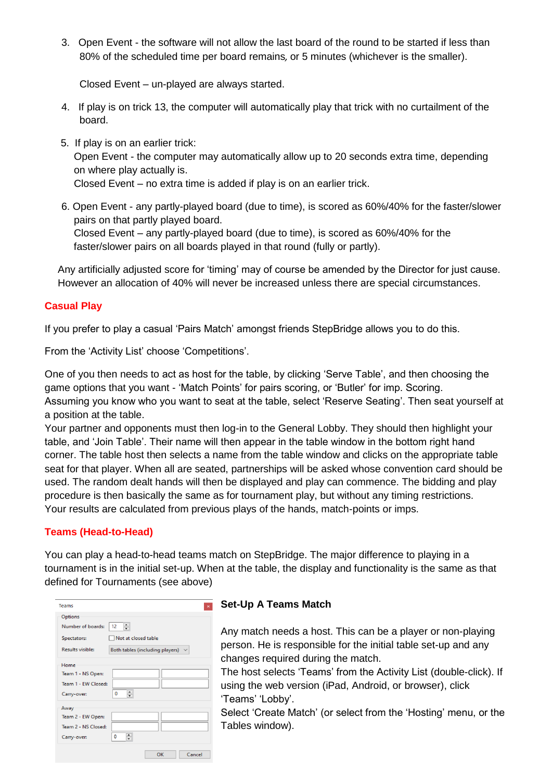3. Open Event - the software will not allow the last board of the round to be started if less than 80% of the scheduled time per board remains*,* or 5 minutes (whichever is the smaller).

Closed Event – un-played are always started.

- 4. If play is on trick 13, the computer will automatically play that trick with no curtailment of the board.
- 5. If play is on an earlier trick: Open Event - the computer may automatically allow up to 20 seconds extra time, depending on where play actually is. Closed Event – no extra time is added if play is on an earlier trick.
- 6. Open Event any partly-played board (due to time), is scored as 60%/40% for the faster/slower pairs on that partly played board.

Closed Event – any partly-played board (due to time), is scored as 60%/40% for the faster/slower pairs on all boards played in that round (fully or partly).

Any artificially adjusted score for 'timing' may of course be amended by the Director for just cause. However an allocation of 40% will never be increased unless there are special circumstances.

### **Casual Play**

If you prefer to play a casual 'Pairs Match' amongst friends StepBridge allows you to do this.

From the 'Activity List' choose 'Competitions'.

One of you then needs to act as host for the table, by clicking 'Serve Table', and then choosing the game options that you want - 'Match Points' for pairs scoring, or 'Butler' for imp. Scoring. Assuming you know who you want to seat at the table, select 'Reserve Seating'. Then seat yourself at a position at the table.

Your partner and opponents must then log-in to the General Lobby. They should then highlight your table, and 'Join Table'. Their name will then appear in the table window in the bottom right hand corner. The table host then selects a name from the table window and clicks on the appropriate table seat for that player. When all are seated, partnerships will be asked whose convention card should be used. The random dealt hands will then be displayed and play can commence. The bidding and play procedure is then basically the same as for tournament play, but without any timing restrictions. Your results are calculated from previous plays of the hands, match-points or imps.

# **Teams (Head-to-Head)**

You can play a head-to-head teams match on StepBridge. The major difference to playing in a tournament is in the initial set-up. When at the table, the display and functionality is the same as that defined for Tournaments (see above)

| Teams<br>$\boldsymbol{\times}$                             |
|------------------------------------------------------------|
| Options                                                    |
| 츾<br>Number of boards:<br>12                               |
| Not at closed table<br>Spectators:                         |
| <b>Results visible:</b><br>Both tables (including players) |
| Home                                                       |
| Team 1 - NS Open:                                          |
| Team 1 - EW Closed:                                        |
| ≑<br>0<br>Carry-over:                                      |
| Away                                                       |
| Team 2 - EW Open:                                          |
| Team 2 - NS Closed:                                        |
| $\div$<br>0<br>Carry-over:                                 |
|                                                            |
| OK<br>Cancel                                               |

### **Set-Up A Teams Match**

Any match needs a host. This can be a player or non-playing person. He is responsible for the initial table set-up and any changes required during the match.

The host selects 'Teams' from the Activity List (double-click). If using the web version (iPad, Android, or browser), click 'Teams' 'Lobby'.

Select 'Create Match' (or select from the 'Hosting' menu, or the Tables window).